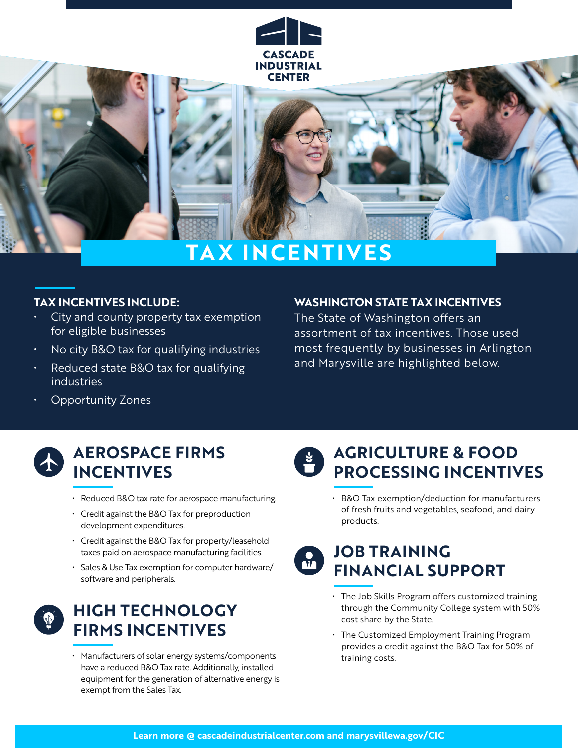

# **TAX INCENTIVES**

#### **TAX INCENTIVES INCLUDE:**

- City and county property tax exemption for eligible businesses
- No city B&O tax for qualifying industries
- Reduced state B&O tax for qualifying industries

# The State of Washington offers an

assortment of tax incentives. Those used most frequently by businesses in Arlington and Marysville are highlighted below.

**WASHINGTON STATE TAX INCENTIVES**

• Opportunity Zones



### **AEROSPACE FIRMS INCENTIVES**

- Reduced B&O tax rate for aerospace manufacturing.
- Credit against the B&O Tax for preproduction development expenditures.
- Credit against the B&O Tax for property/leasehold taxes paid on aerospace manufacturing facilities.
- Sales & Use Tax exemption for computer hardware/ software and peripherals.



### **HIGH TECHNOLOGY FIRMS INCENTIVES**

• Manufacturers of solar energy systems/components have a reduced B&O Tax rate. Additionally, installed equipment for the generation of alternative energy is exempt from the Sales Tax.



• B&O Tax exemption/deduction for manufacturers of fresh fruits and vegetables, seafood, and dairy products.

## **JOB TRAINING FINANCIAL SUPPORT**

- The Job Skills Program offers customized training through the Community College system with 50% cost share by the State.
- The Customized Employment Training Program provides a credit against the B&O Tax for 50% of training costs.